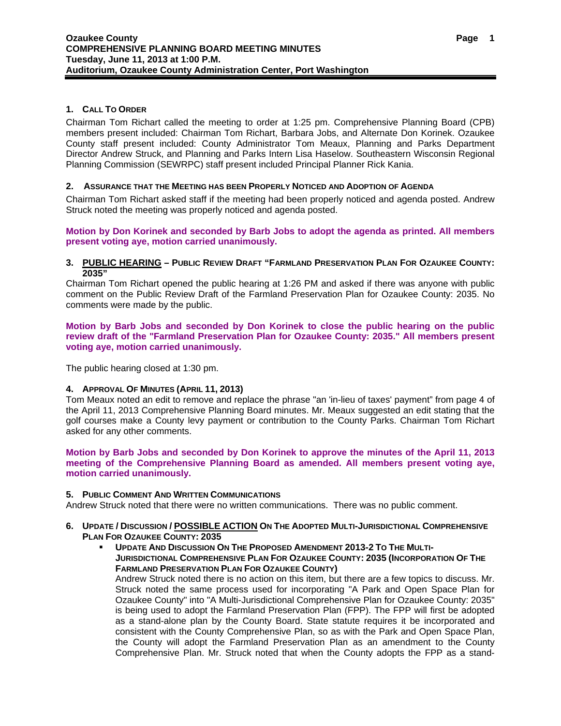# **1. CALL TO ORDER**

Chairman Tom Richart called the meeting to order at 1:25 pm. Comprehensive Planning Board (CPB) members present included: Chairman Tom Richart, Barbara Jobs, and Alternate Don Korinek. Ozaukee County staff present included: County Administrator Tom Meaux, Planning and Parks Department Director Andrew Struck, and Planning and Parks Intern Lisa Haselow. Southeastern Wisconsin Regional Planning Commission (SEWRPC) staff present included Principal Planner Rick Kania.

# **2. ASSURANCE THAT THE MEETING HAS BEEN PROPERLY NOTICED AND ADOPTION OF AGENDA**

Chairman Tom Richart asked staff if the meeting had been properly noticed and agenda posted. Andrew Struck noted the meeting was properly noticed and agenda posted.

**Motion by Don Korinek and seconded by Barb Jobs to adopt the agenda as printed. All members present voting aye, motion carried unanimously.** 

#### **3. PUBLIC HEARING – PUBLIC REVIEW DRAFT "FARMLAND PRESERVATION PLAN FOR OZAUKEE COUNTY: 2035"**

Chairman Tom Richart opened the public hearing at 1:26 PM and asked if there was anyone with public comment on the Public Review Draft of the Farmland Preservation Plan for Ozaukee County: 2035. No comments were made by the public.

**Motion by Barb Jobs and seconded by Don Korinek to close the public hearing on the public review draft of the "Farmland Preservation Plan for Ozaukee County: 2035." All members present voting aye, motion carried unanimously.** 

The public hearing closed at 1:30 pm.

## **4. APPROVAL OF MINUTES (APRIL 11, 2013)**

Tom Meaux noted an edit to remove and replace the phrase "an 'in-lieu of taxes' payment" from page 4 of the April 11, 2013 Comprehensive Planning Board minutes. Mr. Meaux suggested an edit stating that the golf courses make a County levy payment or contribution to the County Parks. Chairman Tom Richart asked for any other comments.

**Motion by Barb Jobs and seconded by Don Korinek to approve the minutes of the April 11, 2013 meeting of the Comprehensive Planning Board as amended. All members present voting aye, motion carried unanimously.** 

## **5. PUBLIC COMMENT AND WRITTEN COMMUNICATIONS**

Andrew Struck noted that there were no written communications. There was no public comment.

#### **6. UPDATE / DISCUSSION / POSSIBLE ACTION ON THE ADOPTED MULTI-JURISDICTIONAL COMPREHENSIVE PLAN FOR OZAUKEE COUNTY: 2035**

 **UPDATE AND DISCUSSION ON THE PROPOSED AMENDMENT 2013-2 TO THE MULTI-JURISDICTIONAL COMPREHENSIVE PLAN FOR OZAUKEE COUNTY: 2035 (INCORPORATION OF THE FARMLAND PRESERVATION PLAN FOR OZAUKEE COUNTY)** 

Andrew Struck noted there is no action on this item, but there are a few topics to discuss. Mr. Struck noted the same process used for incorporating "A Park and Open Space Plan for Ozaukee County" into "A Multi-Jurisdictional Comprehensive Plan for Ozaukee County: 2035" is being used to adopt the Farmland Preservation Plan (FPP). The FPP will first be adopted as a stand-alone plan by the County Board. State statute requires it be incorporated and consistent with the County Comprehensive Plan, so as with the Park and Open Space Plan, the County will adopt the Farmland Preservation Plan as an amendment to the County Comprehensive Plan. Mr. Struck noted that when the County adopts the FPP as a stand-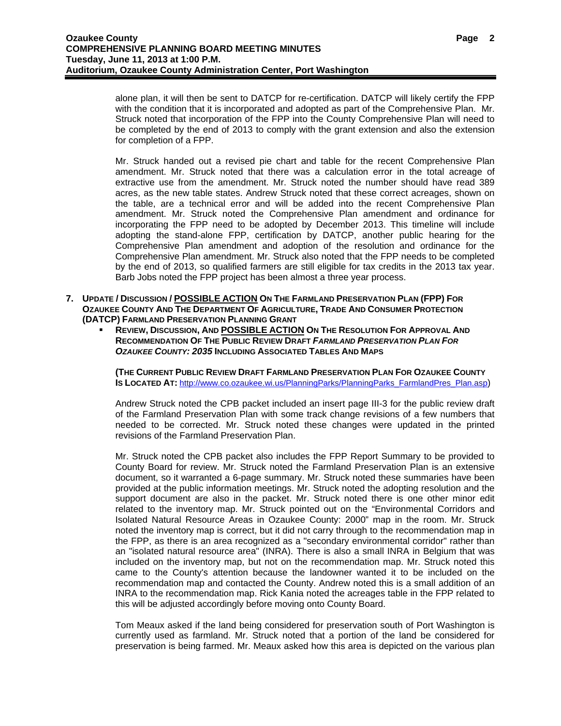alone plan, it will then be sent to DATCP for re-certification. DATCP will likely certify the FPP with the condition that it is incorporated and adopted as part of the Comprehensive Plan. Mr. Struck noted that incorporation of the FPP into the County Comprehensive Plan will need to be completed by the end of 2013 to comply with the grant extension and also the extension for completion of a FPP.

Mr. Struck handed out a revised pie chart and table for the recent Comprehensive Plan amendment. Mr. Struck noted that there was a calculation error in the total acreage of extractive use from the amendment. Mr. Struck noted the number should have read 389 acres, as the new table states. Andrew Struck noted that these correct acreages, shown on the table, are a technical error and will be added into the recent Comprehensive Plan amendment. Mr. Struck noted the Comprehensive Plan amendment and ordinance for incorporating the FPP need to be adopted by December 2013. This timeline will include adopting the stand-alone FPP, certification by DATCP, another public hearing for the Comprehensive Plan amendment and adoption of the resolution and ordinance for the Comprehensive Plan amendment. Mr. Struck also noted that the FPP needs to be completed by the end of 2013, so qualified farmers are still eligible for tax credits in the 2013 tax year. Barb Jobs noted the FPP project has been almost a three year process.

- **7. UPDATE / DISCUSSION / POSSIBLE ACTION ON THE FARMLAND PRESERVATION PLAN (FPP) FOR OZAUKEE COUNTY AND THE DEPARTMENT OF AGRICULTURE, TRADE AND CONSUMER PROTECTION (DATCP) FARMLAND PRESERVATION PLANNING GRANT**
	- **REVIEW, DISCUSSION, AND POSSIBLE ACTION ON THE RESOLUTION FOR APPROVAL AND RECOMMENDATION OF THE PUBLIC REVIEW DRAFT** *FARMLAND PRESERVATION PLAN FOR OZAUKEE COUNTY: 2035* **INCLUDING ASSOCIATED TABLES AND MAPS**

**(THE CURRENT PUBLIC REVIEW DRAFT FARMLAND PRESERVATION PLAN FOR OZAUKEE COUNTY IS LOCATED AT:** http://www.co.ozaukee.wi.us/PlanningParks/PlanningParks\_FarmlandPres\_Plan.asp)

Andrew Struck noted the CPB packet included an insert page III-3 for the public review draft of the Farmland Preservation Plan with some track change revisions of a few numbers that needed to be corrected. Mr. Struck noted these changes were updated in the printed revisions of the Farmland Preservation Plan.

Mr. Struck noted the CPB packet also includes the FPP Report Summary to be provided to County Board for review. Mr. Struck noted the Farmland Preservation Plan is an extensive document, so it warranted a 6-page summary. Mr. Struck noted these summaries have been provided at the public information meetings. Mr. Struck noted the adopting resolution and the support document are also in the packet. Mr. Struck noted there is one other minor edit related to the inventory map. Mr. Struck pointed out on the "Environmental Corridors and Isolated Natural Resource Areas in Ozaukee County: 2000" map in the room. Mr. Struck noted the inventory map is correct, but it did not carry through to the recommendation map in the FPP, as there is an area recognized as a "secondary environmental corridor" rather than an "isolated natural resource area" (INRA). There is also a small INRA in Belgium that was included on the inventory map, but not on the recommendation map. Mr. Struck noted this came to the County's attention because the landowner wanted it to be included on the recommendation map and contacted the County. Andrew noted this is a small addition of an INRA to the recommendation map. Rick Kania noted the acreages table in the FPP related to this will be adjusted accordingly before moving onto County Board.

Tom Meaux asked if the land being considered for preservation south of Port Washington is currently used as farmland. Mr. Struck noted that a portion of the land be considered for preservation is being farmed. Mr. Meaux asked how this area is depicted on the various plan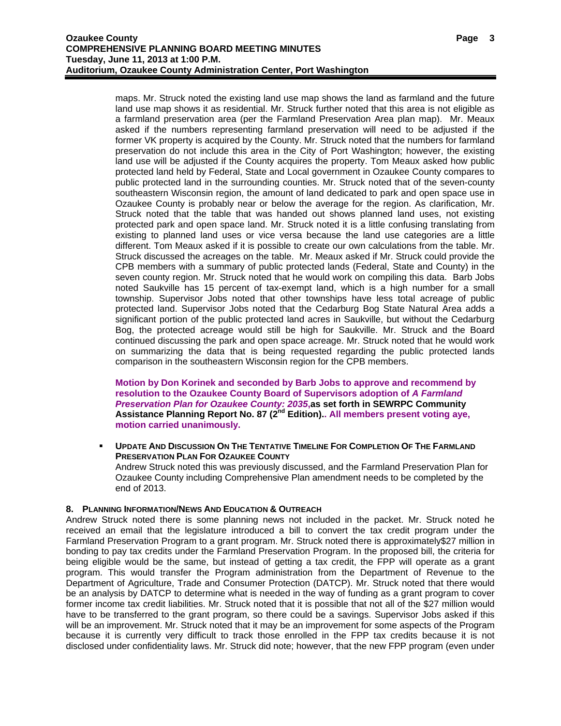maps. Mr. Struck noted the existing land use map shows the land as farmland and the future land use map shows it as residential. Mr. Struck further noted that this area is not eligible as a farmland preservation area (per the Farmland Preservation Area plan map). Mr. Meaux asked if the numbers representing farmland preservation will need to be adjusted if the former VK property is acquired by the County. Mr. Struck noted that the numbers for farmland preservation do not include this area in the City of Port Washington; however, the existing land use will be adjusted if the County acquires the property. Tom Meaux asked how public protected land held by Federal, State and Local government in Ozaukee County compares to public protected land in the surrounding counties. Mr. Struck noted that of the seven-county southeastern Wisconsin region, the amount of land dedicated to park and open space use in Ozaukee County is probably near or below the average for the region. As clarification, Mr. Struck noted that the table that was handed out shows planned land uses, not existing protected park and open space land. Mr. Struck noted it is a little confusing translating from existing to planned land uses or vice versa because the land use categories are a little different. Tom Meaux asked if it is possible to create our own calculations from the table. Mr. Struck discussed the acreages on the table. Mr. Meaux asked if Mr. Struck could provide the CPB members with a summary of public protected lands (Federal, State and County) in the seven county region. Mr. Struck noted that he would work on compiling this data. Barb Jobs noted Saukville has 15 percent of tax-exempt land, which is a high number for a small township. Supervisor Jobs noted that other townships have less total acreage of public protected land. Supervisor Jobs noted that the Cedarburg Bog State Natural Area adds a significant portion of the public protected land acres in Saukville, but without the Cedarburg Bog, the protected acreage would still be high for Saukville. Mr. Struck and the Board continued discussing the park and open space acreage. Mr. Struck noted that he would work on summarizing the data that is being requested regarding the public protected lands comparison in the southeastern Wisconsin region for the CPB members.

**Motion by Don Korinek and seconded by Barb Jobs to approve and recommend by resolution to the Ozaukee County Board of Supervisors adoption of** *A Farmland Preservation Plan for Ozaukee County: 2035***,as set forth in SEWRPC Community**  Assistance Planning Report No. 87 (2<sup>nd</sup> Edition). All members present voting ave, **motion carried unanimously.**

 **UPDATE AND DISCUSSION ON THE TENTATIVE TIMELINE FOR COMPLETION OF THE FARMLAND PRESERVATION PLAN FOR OZAUKEE COUNTY** Andrew Struck noted this was previously discussed, and the Farmland Preservation Plan for Ozaukee County including Comprehensive Plan amendment needs to be completed by the end of 2013.

## **8. PLANNING INFORMATION/NEWS AND EDUCATION & OUTREACH**

Andrew Struck noted there is some planning news not included in the packet. Mr. Struck noted he received an email that the legislature introduced a bill to convert the tax credit program under the Farmland Preservation Program to a grant program. Mr. Struck noted there is approximately\$27 million in bonding to pay tax credits under the Farmland Preservation Program. In the proposed bill, the criteria for being eligible would be the same, but instead of getting a tax credit, the FPP will operate as a grant program. This would transfer the Program administration from the Department of Revenue to the Department of Agriculture, Trade and Consumer Protection (DATCP). Mr. Struck noted that there would be an analysis by DATCP to determine what is needed in the way of funding as a grant program to cover former income tax credit liabilities. Mr. Struck noted that it is possible that not all of the \$27 million would have to be transferred to the grant program, so there could be a savings. Supervisor Jobs asked if this will be an improvement. Mr. Struck noted that it may be an improvement for some aspects of the Program because it is currently very difficult to track those enrolled in the FPP tax credits because it is not disclosed under confidentiality laws. Mr. Struck did note; however, that the new FPP program (even under